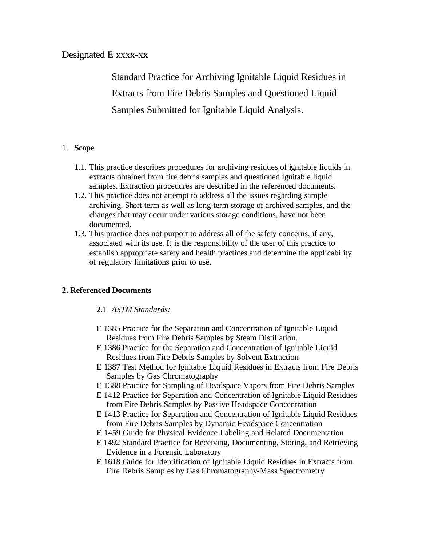# Designated E xxxx-xx

Standard Practice for Archiving Ignitable Liquid Residues in Extracts from Fire Debris Samples and Questioned Liquid Samples Submitted for Ignitable Liquid Analysis.

### 1. **Scope**

- 1.1. This practice describes procedures for archiving residues of ignitable liquids in extracts obtained from fire debris samples and questioned ignitable liquid samples. Extraction procedures are described in the referenced documents.
- 1.2. This practice does not attempt to address all the issues regarding sample archiving. Short term as well as long-term storage of archived samples, and the changes that may occur under various storage conditions, have not been documented.
- 1.3. This practice does not purport to address all of the safety concerns, if any, associated with its use. It is the responsibility of the user of this practice to establish appropriate safety and health practices and determine the applicability of regulatory limitations prior to use.

### **2. Referenced Documents**

### 2.1 *ASTM Standards:*

- E 1385 Practice for the Separation and Concentration of Ignitable Liquid Residues from Fire Debris Samples by Steam Distillation.
- E 1386 Practice for the Separation and Concentration of Ignitable Liquid Residues from Fire Debris Samples by Solvent Extraction
- E 1387 Test Method for Ignitable Liquid Residues in Extracts from Fire Debris Samples by Gas Chromatography
- E 1388 Practice for Sampling of Headspace Vapors from Fire Debris Samples
- E 1412 Practice for Separation and Concentration of Ignitable Liquid Residues from Fire Debris Samples by Passive Headspace Concentration
- E 1413 Practice for Separation and Concentration of Ignitable Liquid Residues from Fire Debris Samples by Dynamic Headspace Concentration
- E 1459 Guide for Physical Evidence Labeling and Related Documentation
- E 1492 Standard Practice for Receiving, Documenting, Storing, and Retrieving Evidence in a Forensic Laboratory
- E 1618 Guide for Identification of Ignitable Liquid Residues in Extracts from Fire Debris Samples by Gas Chromatography-Mass Spectrometry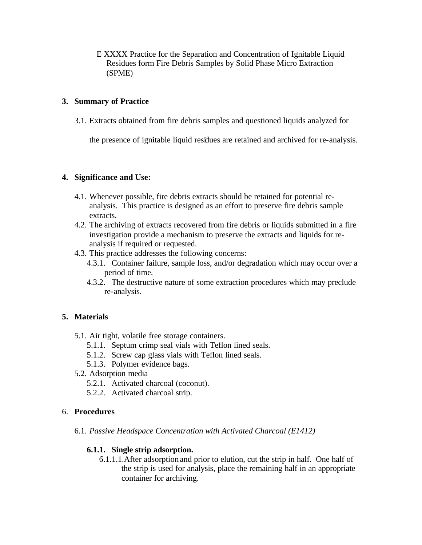E XXXX Practice for the Separation and Concentration of Ignitable Liquid Residues form Fire Debris Samples by Solid Phase Micro Extraction (SPME)

### **3. Summary of Practice**

3.1. Extracts obtained from fire debris samples and questioned liquids analyzed for

the presence of ignitable liquid residues are retained and archived for re-analysis.

### **4. Significance and Use:**

- 4.1. Whenever possible, fire debris extracts should be retained for potential reanalysis. This practice is designed as an effort to preserve fire debris sample extracts.
- 4.2. The archiving of extracts recovered from fire debris or liquids submitted in a fire investigation provide a mechanism to preserve the extracts and liquids for reanalysis if required or requested.
- 4.3. This practice addresses the following concerns:
	- 4.3.1. Container failure, sample loss, and/or degradation which may occur over a period of time.
	- 4.3.2. The destructive nature of some extraction procedures which may preclude re-analysis.

# **5. Materials**

- 5.1. Air tight, volatile free storage containers.
	- 5.1.1. Septum crimp seal vials with Teflon lined seals.
	- 5.1.2. Screw cap glass vials with Teflon lined seals.
	- 5.1.3. Polymer evidence bags.
- 5.2. Adsorption media
	- 5.2.1. Activated charcoal (coconut).
	- 5.2.2. Activated charcoal strip.

### 6. **Procedures**

6.1. *Passive Headspace Concentration with Activated Charcoal (E1412)*

# **6.1.1. Single strip adsorption.**

6.1.1.1.After adsorption and prior to elution, cut the strip in half. One half of the strip is used for analysis, place the remaining half in an appropriate container for archiving.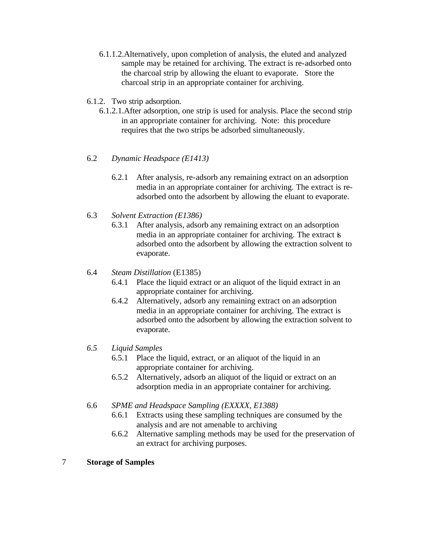- 6.1.1.2.Alternatively, upon completion of analysis, the eluted and analyzed sample may be retained for archiving. The extract is re-adsorbed onto the charcoal strip by allowing the eluant to evaporate. Store the charcoal strip in an appropriate container for archiving.
- 6.1.2. Two strip adsorption.
	- 6.1.2.1.After adsorption, one strip is used for analysis. Place the second strip in an appropriate container for archiving. Note: this procedure requires that the two strips be adsorbed simultaneously.
- 6.2 *Dynamic Headspace (E1413)*
	- 6.2.1 After analysis, re-adsorb any remaining extract on an adsorption media in an appropriate container for archiving. The extract is readsorbed onto the adsorbent by allowing the eluant to evaporate.
- 6.3 *Solvent Extraction (E1386)*
	- 6.3.1 After analysis, adsorb any remaining extract on an adsorption media in an appropriate container for archiving. The extract is adsorbed onto the adsorbent by allowing the extraction solvent to evaporate.
- 6.4 *Steam Distillation* (E1385)
	- 6.4.1 Place the liquid extract or an aliquot of the liquid extract in an appropriate container for archiving.
	- 6.4.2 Alternatively, adsorb any remaining extract on an adsorption media in an appropriate container for archiving. The extract is adsorbed onto the adsorbent by allowing the extraction solvent to evaporate.
- *6.5 Liquid Samples*
	- 6.5.1 Place the liquid, extract, or an aliquot of the liquid in an appropriate container for archiving.
	- 6.5.2 Alternatively, adsorb an aliquot of the liquid or extract on an adsorption media in an appropriate container for archiving.
- 6.6 *SPME and Headspace Sampling (EXXXX, E1388)*
	- 6.6.1 Extracts using these sampling techniques are consumed by the analysis and are not amenable to archiving
	- 6.6.2 Alternative sampling methods may be used for the preservation of an extract for archiving purposes.
- 7 **Storage of Samples**